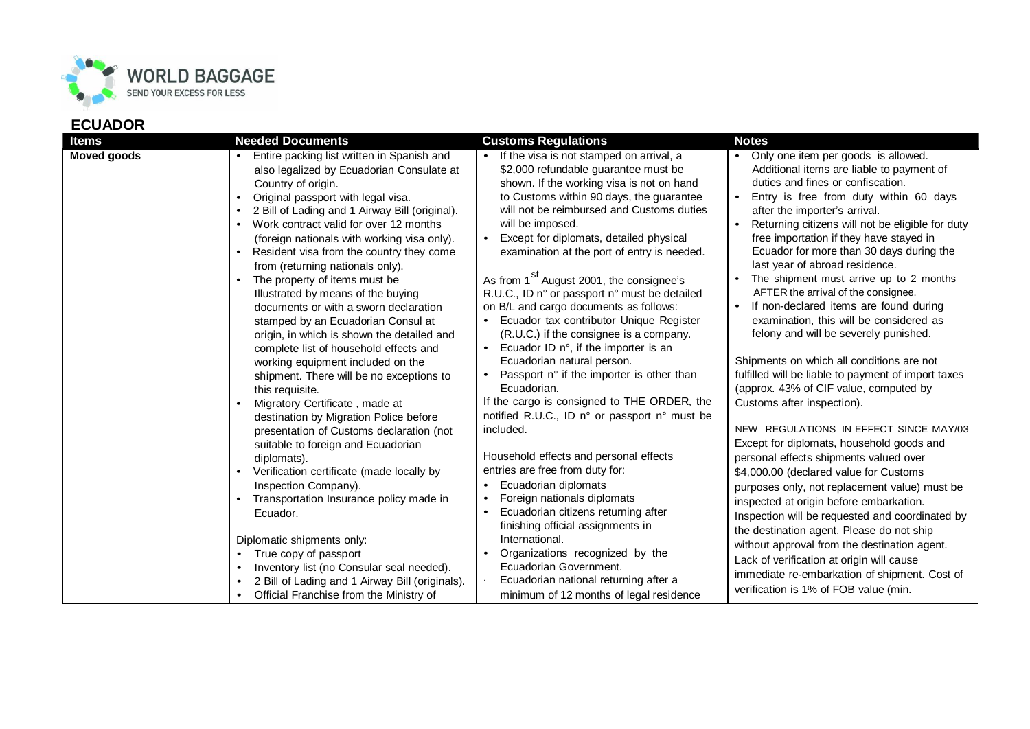

## **ECUADOR**

| <b>Moved goods</b><br>Entire packing list written in Spanish and<br>If the visa is not stamped on arrival, a<br>Only one item per goods is allowed.<br>Additional items are liable to payment of<br>\$2,000 refundable guarantee must be<br>also legalized by Ecuadorian Consulate at<br>duties and fines or confiscation.<br>shown. If the working visa is not on hand<br>Country of origin.<br>to Customs within 90 days, the guarantee<br>Entry is free from duty within 60 days<br>Original passport with legal visa.<br>$\bullet$<br>will not be reimbursed and Customs duties<br>2 Bill of Lading and 1 Airway Bill (original).<br>after the importer's arrival.<br>Work contract valid for over 12 months<br>will be imposed.<br>Returning citizens will not be eligible for duty<br>$\bullet$<br>Except for diplomats, detailed physical<br>free importation if they have stayed in<br>(foreign nationals with working visa only).<br>$\bullet$<br>Ecuador for more than 30 days during the<br>Resident visa from the country they come<br>examination at the port of entry is needed.<br>$\bullet$<br>last year of abroad residence.<br>from (returning nationals only).                                                                                                                                                                                                                                                                                                                                                                                                                                                                                                                                                                                                                                                                                                                                                                                                                                                                                                                                                                                                                                                                                                                                                                                                                                                                                                                                                                                                                                                                                                                                                                                                      |
|----------------------------------------------------------------------------------------------------------------------------------------------------------------------------------------------------------------------------------------------------------------------------------------------------------------------------------------------------------------------------------------------------------------------------------------------------------------------------------------------------------------------------------------------------------------------------------------------------------------------------------------------------------------------------------------------------------------------------------------------------------------------------------------------------------------------------------------------------------------------------------------------------------------------------------------------------------------------------------------------------------------------------------------------------------------------------------------------------------------------------------------------------------------------------------------------------------------------------------------------------------------------------------------------------------------------------------------------------------------------------------------------------------------------------------------------------------------------------------------------------------------------------------------------------------------------------------------------------------------------------------------------------------------------------------------------------------------------------------------------------------------------------------------------------------------------------------------------------------------------------------------------------------------------------------------------------------------------------------------------------------------------------------------------------------------------------------------------------------------------------------------------------------------------------------------------------------------------------------------------------------------------------------------------------------------------------------------------------------------------------------------------------------------------------------------------------------------------------------------------------------------------------------------------------------------------------------------------------------------------------------------------------------------------------------------------------------------------------------------------------------------------------------------|
| As from 1 <sup>St</sup> August 2001, the consignee's<br>The shipment must arrive up to 2 months<br>The property of items must be<br>AFTER the arrival of the consignee.<br>R.U.C., ID n° or passport n° must be detailed<br>Illustrated by means of the buying<br>If non-declared items are found during<br>on B/L and cargo documents as follows:<br>documents or with a sworn declaration<br>Ecuador tax contributor Unique Register<br>examination, this will be considered as<br>stamped by an Ecuadorian Consul at<br>(R.U.C.) if the consignee is a company.<br>felony and will be severely punished.<br>origin, in which is shown the detailed and<br>Ecuador ID $n^{\circ}$ , if the importer is an<br>complete list of household effects and<br>Shipments on which all conditions are not<br>Ecuadorian natural person.<br>working equipment included on the<br>fulfilled will be liable to payment of import taxes<br>Passport n° if the importer is other than<br>shipment. There will be no exceptions to<br>Ecuadorian.<br>(approx. 43% of CIF value, computed by<br>this requisite.<br>If the cargo is consigned to THE ORDER, the<br>Customs after inspection).<br>Migratory Certificate, made at<br>$\bullet$<br>notified R.U.C., ID n° or passport n° must be<br>destination by Migration Police before<br>NEW REGULATIONS IN EFFECT SINCE MAY/03<br>included.<br>presentation of Customs declaration (not<br>Except for diplomats, household goods and<br>suitable to foreign and Ecuadorian<br>Household effects and personal effects<br>personal effects shipments valued over<br>diplomats).<br>entries are free from duty for:<br>Verification certificate (made locally by<br>\$4,000.00 (declared value for Customs<br>$\bullet$<br>Ecuadorian diplomats<br>Inspection Company).<br>$\bullet$<br>purposes only, not replacement value) must be<br>Foreign nationals diplomats<br>Transportation Insurance policy made in<br>$\bullet$<br>inspected at origin before embarkation.<br>Ecuadorian citizens returning after<br>Ecuador.<br>$\bullet$<br>Inspection will be requested and coordinated by<br>finishing official assignments in<br>the destination agent. Please do not ship<br>International.<br>Diplomatic shipments only:<br>without approval from the destination agent.<br>Organizations recognized by the<br>True copy of passport<br>$\bullet$<br>Lack of verification at origin will cause<br>Ecuadorian Government.<br>Inventory list (no Consular seal needed).<br>immediate re-embarkation of shipment. Cost of<br>Ecuadorian national returning after a<br>2 Bill of Lading and 1 Airway Bill (originals).<br>verification is 1% of FOB value (min.<br>Official Franchise from the Ministry of<br>minimum of 12 months of legal residence |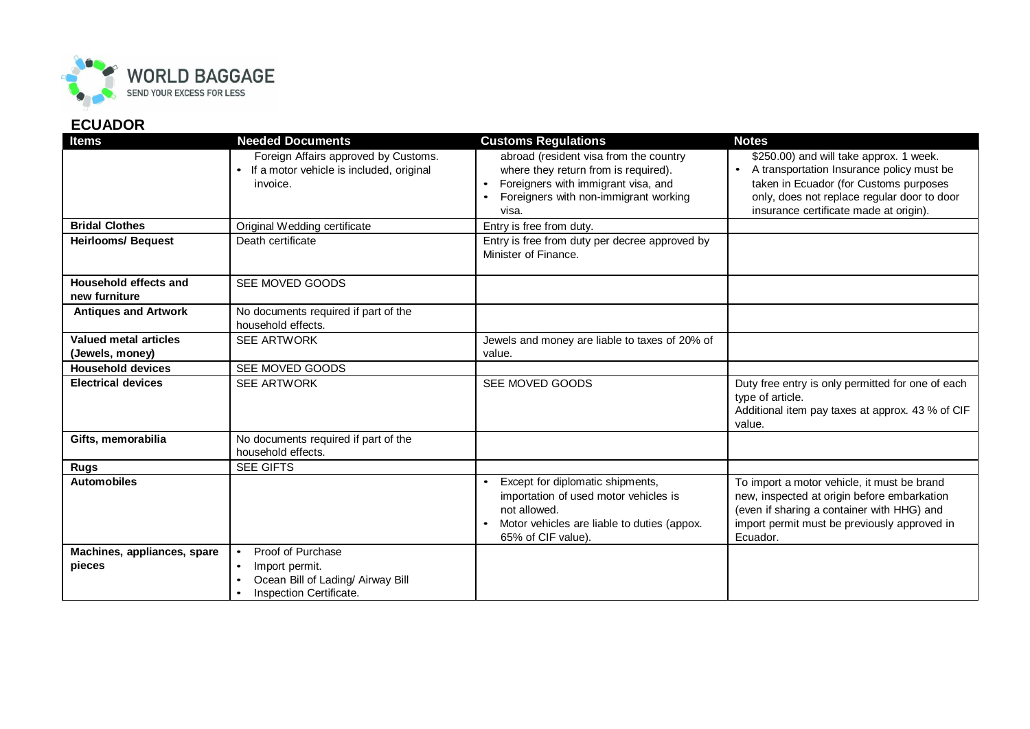

## **ECUADOR**

| <b>Items</b>                             | <b>Needed Documents</b>                                                                                                                    | <b>Customs Regulations</b>                                                                                                                                                           | <b>Notes</b>                                                                                                                                                                                                                         |
|------------------------------------------|--------------------------------------------------------------------------------------------------------------------------------------------|--------------------------------------------------------------------------------------------------------------------------------------------------------------------------------------|--------------------------------------------------------------------------------------------------------------------------------------------------------------------------------------------------------------------------------------|
|                                          | Foreign Affairs approved by Customs.<br>If a motor vehicle is included, original<br>$\bullet$<br>invoice.                                  | abroad (resident visa from the country<br>where they return from is required).<br>Foreigners with immigrant visa, and<br>$\bullet$<br>Foreigners with non-immigrant working<br>visa. | \$250.00) and will take approx. 1 week.<br>A transportation Insurance policy must be<br>$\bullet$<br>taken in Ecuador (for Customs purposes<br>only, does not replace regular door to door<br>insurance certificate made at origin). |
| <b>Bridal Clothes</b>                    | Original Wedding certificate                                                                                                               | Entry is free from duty.                                                                                                                                                             |                                                                                                                                                                                                                                      |
| <b>Heirlooms/ Bequest</b>                | Death certificate                                                                                                                          | Entry is free from duty per decree approved by<br>Minister of Finance.                                                                                                               |                                                                                                                                                                                                                                      |
| Household effects and<br>new furniture   | SEE MOVED GOODS                                                                                                                            |                                                                                                                                                                                      |                                                                                                                                                                                                                                      |
| <b>Antiques and Artwork</b>              | No documents required if part of the<br>household effects.                                                                                 |                                                                                                                                                                                      |                                                                                                                                                                                                                                      |
| Valued metal articles<br>(Jewels, money) | <b>SEE ARTWORK</b>                                                                                                                         | Jewels and money are liable to taxes of 20% of<br>value.                                                                                                                             |                                                                                                                                                                                                                                      |
| <b>Household devices</b>                 | SEE MOVED GOODS                                                                                                                            |                                                                                                                                                                                      |                                                                                                                                                                                                                                      |
| <b>Electrical devices</b>                | <b>SEE ARTWORK</b>                                                                                                                         | SEE MOVED GOODS                                                                                                                                                                      | Duty free entry is only permitted for one of each<br>type of article.<br>Additional item pay taxes at approx. 43 % of CIF<br>value.                                                                                                  |
| Gifts, memorabilia                       | No documents required if part of the<br>household effects.                                                                                 |                                                                                                                                                                                      |                                                                                                                                                                                                                                      |
| <b>Rugs</b>                              | <b>SEE GIFTS</b>                                                                                                                           |                                                                                                                                                                                      |                                                                                                                                                                                                                                      |
| <b>Automobiles</b>                       |                                                                                                                                            | Except for diplomatic shipments,<br>importation of used motor vehicles is<br>not allowed.<br>Motor vehicles are liable to duties (appox.<br>$\bullet$<br>65% of CIF value).          | To import a motor vehicle, it must be brand<br>new, inspected at origin before embarkation<br>(even if sharing a container with HHG) and<br>import permit must be previously approved in<br>Ecuador.                                 |
| Machines, appliances, spare<br>pieces    | Proof of Purchase<br>$\bullet$<br>Import permit.<br>$\bullet$<br>Ocean Bill of Lading/ Airway Bill<br>$\bullet$<br>Inspection Certificate. |                                                                                                                                                                                      |                                                                                                                                                                                                                                      |